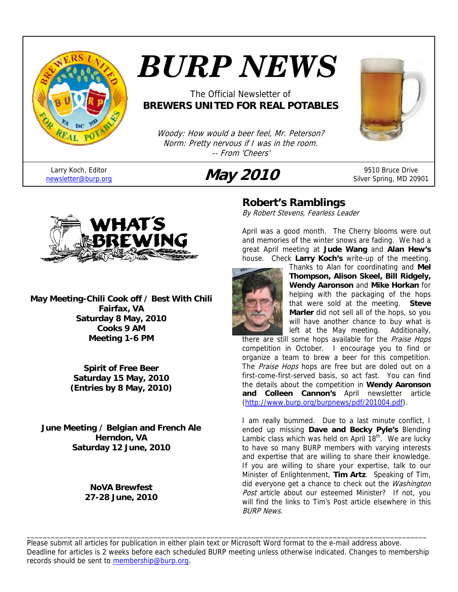

Larry Koch, Editor

# *BURP NEWS*

## The Official Newsletter of **BREWERS UNITED FOR REAL POTABLES**

Woody: How would a beer feel, Mr. Peterson? Norm: Pretty nervous if I was in the room. -- From 'Cheers'





Silver Spring, MD 20901



**May Meeting-Chili Cook off / Best With Chili Fairfax, VA Saturday 8 May, 2010 Cooks 9 AM Meeting 1-6 PM** 

> **Spirit of Free Beer Saturday 15 May, 2010 (Entries by 8 May, 2010)**

**June Meeting / Belgian and French Ale Herndon, VA Saturday 12 June, 2010** 

> **NoVA Brewfest 27-28 June, 2010**

# **Robert's Ramblings**

By Robert Stevens, Fearless Leader

April was a good month. The Cherry blooms were out and memories of the winter snows are fading. We had a great April meeting at **Jude Wang** and **Alan Hew's** house. Check **Larry Koch's** write-up of the meeting.



Thanks to Alan for coordinating and **Mel Thompson, Alison Skeel, Bill Ridgely, Wendy Aaronson** and **Mike Horkan** for helping with the packaging of the hops that were sold at the meeting. **Steve Marler** did not sell all of the hops, so you will have another chance to buy what is left at the May meeting. Additionally,

there are still some hops available for the Praise Hops competition in October. I encourage you to find or organize a team to brew a beer for this competition. The Praise Hops hops are free but are doled out on a first-come-first-served basis, so act fast. You can find the details about the competition in **Wendy Aaronson and Colleen Cannon's** April newsletter article (http://www.burp.org/burpnews/pdf/201004.pdf).

I am really bummed. Due to a last minute conflict, I ended up missing **Dave and Becky Pyle's** Blending Lambic class which was held on April  $18<sup>th</sup>$ . We are lucky to have so many BURP members with varying interests and expertise that are willing to share their knowledge. If you are willing to share your expertise, talk to our Minister of Enlightenment, **Tim Artz**. Speaking of Tim, did everyone get a chance to check out the Washington Post article about our esteemed Minister? If not, you will find the links to Tim's Post article elsewhere in this BURP News.

Please submit all articles for publication in either plain text or Microsoft Word format to the e-mail address above. Deadline for articles is 2 weeks before each scheduled BURP meeting unless otherwise indicated. Changes to membership records should be sent to membership@burp.org.

\_\_\_\_\_\_\_\_\_\_\_\_\_\_\_\_\_\_\_\_\_\_\_\_\_\_\_\_\_\_\_\_\_\_\_\_\_\_\_\_\_\_\_\_\_\_\_\_\_\_\_\_\_\_\_\_\_\_\_\_\_\_\_\_\_\_\_\_\_\_\_\_\_\_\_\_\_\_\_\_\_\_\_\_\_\_\_\_\_\_\_\_\_\_\_\_\_\_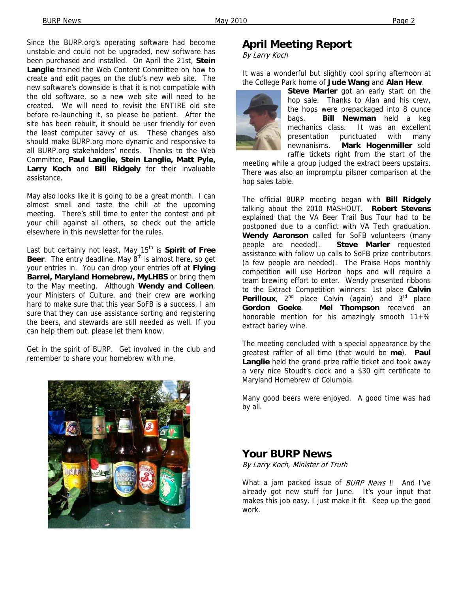Since the BURP.org's operating software had become unstable and could not be upgraded, new software has been purchased and installed. On April the 21st, **Stein Langlie** trained the Web Content Committee on how to create and edit pages on the club's new web site. The new software's downside is that it is not compatible with the old software, so a new web site will need to be created. We will need to revisit the ENTIRE old site before re-launching it, so please be patient. After the site has been rebuilt, it should be user friendly for even the least computer savvy of us. These changes also should make BURP.org more dynamic and responsive to all BURP.org stakeholders' needs. Thanks to the Web Committee, **Paul Langlie, Stein Langlie, Matt Pyle, Larry Koch** and **Bill Ridgely** for their invaluable assistance.

May also looks like it is going to be a great month. I can almost smell and taste the chili at the upcoming meeting. There's still time to enter the contest and pit your chili against all others, so check out the article elsewhere in this newsletter for the rules.

Last but certainly not least, May 15<sup>th</sup> is **Spirit of Free Beer**. The entry deadline, May 8<sup>th</sup> is almost here, so get your entries in. You can drop your entries off at **Flying Barrel, Maryland Homebrew, MyLHBS** or bring them to the May meeting. Although **Wendy and Colleen**, your Ministers of Culture, and their crew are working hard to make sure that this year SoFB is a success, I am sure that they can use assistance sorting and registering the beers, and stewards are still needed as well. If you can help them out, please let them know.

Get in the spirit of BURP. Get involved in the club and remember to share your homebrew with me.



## **April Meeting Report**

By Larry Koch

It was a wonderful but slightly cool spring afternoon at the College Park home of **Jude Wang** and **Alan Hew**.



**Steve Marler** got an early start on the hop sale. Thanks to Alan and his crew, the hops were prepackaged into 8 ounce bags. **Bill Newman** held a keg mechanics class. It was an excellent presentation punctuated with many newnanisms. **Mark Hogenmiller** sold raffle tickets right from the start of the

meeting while a group judged the extract beers upstairs. There was also an impromptu pilsner comparison at the hop sales table.

The official BURP meeting began with **Bill Ridgely** talking about the 2010 MASHOUT. **Robert Stevens** explained that the VA Beer Trail Bus Tour had to be postponed due to a conflict with VA Tech graduation. **Wendy Aaronson** called for SoFB volunteers (many people are needed). **Steve Marler** requested assistance with follow up calls to SoFB prize contributors (a few people are needed). The Praise Hops monthly competition will use Horizon hops and will require a team brewing effort to enter. Wendy presented ribbons to the Extract Competition winners: 1st place **Calvin Perilloux**, 2<sup>nd</sup> place Calvin (again) and 3<sup>rd</sup> place **Gordon Goeke**. **Mel Thompson** received an honorable mention for his amazingly smooth  $11+%$ extract barley wine.

The meeting concluded with a special appearance by the greatest raffler of all time (that would be **me**). **Paul Langlie** held the grand prize raffle ticket and took away a very nice Stoudt's clock and a \$30 gift certificate to Maryland Homebrew of Columbia.

Many good beers were enjoyed. A good time was had by all.

#### **Your BURP News**

By Larry Koch, Minister of Truth

What a jam packed issue of **BURP** News !! And I've already got new stuff for June. It's your input that makes this job easy. I just make it fit. Keep up the good work.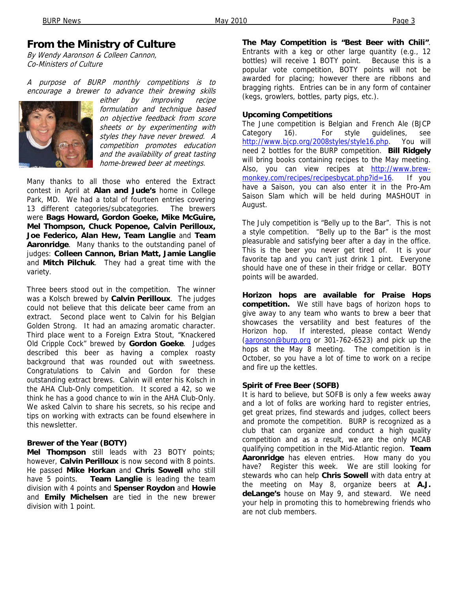# **From the Ministry of Culture**

By Wendy Aaronson & Colleen Cannon, Co-Ministers of Culture

A purpose of BURP monthly competitions is to encourage a brewer to advance their brewing skills



either by improving recipe formulation and technique based on objective feedback from score sheets or by experimenting with styles they have never brewed. A competition promotes education and the availability of great tasting home-brewed beer at meetings.

Many thanks to all those who entered the Extract contest in April at **Alan and Jude's** home in College Park, MD. We had a total of fourteen entries covering 13 different categories/subcategories. The brewers were **Bags Howard, Gordon Goeke, Mike McGuire, Mel Thompson, Chuck Popenoe, Calvin Perilloux, Joe Federico, Alan Hew, Team Langlie** and **Team Aaronridge**. Many thanks to the outstanding panel of judges: **Colleen Cannon, Brian Matt, Jamie Langlie**  and **Mitch Pilchuk**. They had a great time with the variety.

Three beers stood out in the competition. The winner was a Kolsch brewed by **Calvin Perilloux**. The judges could not believe that this delicate beer came from an extract. Second place went to Calvin for his Belgian Golden Strong. It had an amazing aromatic character. Third place went to a Foreign Extra Stout, "Knackered Old Cripple Cock" brewed by **Gordon Goeke**. Judges described this beer as having a complex roasty background that was rounded out with sweetness. Congratulations to Calvin and Gordon for these outstanding extract brews. Calvin will enter his Kolsch in the AHA Club-Only competition. It scored a 42, so we think he has a good chance to win in the AHA Club-Only. We asked Calvin to share his secrets, so his recipe and tips on working with extracts can be found elsewhere in this newsletter.

#### **Brewer of the Year (BOTY)**

**Mel Thompson** still leads with 23 BOTY points; however, **Calvin Perilloux** is now second with 8 points. He passed **Mike Horkan** and **Chris Sowell** who still have 5 points. **Team Langlie** is leading the team division with 4 points and **Spenser Roydon** and **Howie** and **Emily Michelsen** are tied in the new brewer division with 1 point.

**The May Competition is "Best Beer with Chili"**. Entrants with a keg or other large quantity (e.g., 12 bottles) will receive 1 BOTY point. Because this is a popular vote competition, BOTY points will not be awarded for placing; however there are ribbons and bragging rights. Entries can be in any form of container (kegs, growlers, bottles, party pigs, etc.).

#### **Upcoming Competitions**

The June competition is Belgian and French Ale (BJCP Category 16). For style guidelines, see http://www.bjcp.org/2008styles/style16.php. You will need 2 bottles for the BURP competition. **Bill Ridgely** will bring books containing recipes to the May meeting. Also, you can view recipes at http://www.brewmonkey.com/recipes/recipesbycat.php?id=16. If you have a Saison, you can also enter it in the Pro-Am Saison Slam which will be held during MASHOUT in August.

The July competition is "Belly up to the Bar". This is not a style competition. "Belly up to the Bar" is the most pleasurable and satisfying beer after a day in the office. This is the beer you never get tired of. It is your favorite tap and you can't just drink 1 pint. Everyone should have one of these in their fridge or cellar. BOTY points will be awarded.

**Horizon hops are available for Praise Hops competition.** We still have bags of horizon hops to give away to any team who wants to brew a beer that showcases the versatility and best features of the Horizon hop. If interested, please contact Wendy (aaronson@burp.org or 301-762-6523) and pick up the hops at the May 8 meeting. The competition is in October, so you have a lot of time to work on a recipe and fire up the kettles.

#### **Spirit of Free Beer (SOFB)**

It is hard to believe, but SOFB is only a few weeks away and a lot of folks are working hard to register entries, get great prizes, find stewards and judges, collect beers and promote the competition. BURP is recognized as a club that can organize and conduct a high quality competition and as a result, we are the only MCAB qualifying competition in the Mid-Atlantic region. **Team Aaronridge** has eleven entries. How many do you have? Register this week. We are still looking for stewards who can help **Chris Sowell** with data entry at the meeting on May 8, organize beers at **A.J. deLange's** house on May 9, and steward. We need your help in promoting this to homebrewing friends who are not club members.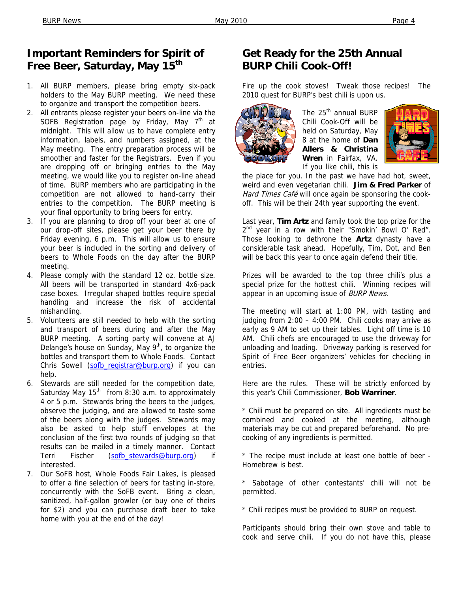# **Important Reminders for Spirit of**  Free Beer, Saturday, May 15<sup>th</sup>

- 1. All BURP members, please bring empty six-pack holders to the May BURP meeting. We need these to organize and transport the competition beers.
- 2. All entrants please register your beers on-line via the SOFB Registration page by Friday, May  $7<sup>th</sup>$  at midnight. This will allow us to have complete entry information, labels, and numbers assigned, at the May meeting. The entry preparation process will be smoother and faster for the Registrars. Even if you are dropping off or bringing entries to the May meeting, we would like you to register on-line ahead of time. BURP members who are participating in the competition are not allowed to hand-carry their entries to the competition. The BURP meeting is your final opportunity to bring beers for entry.
- 3. If you are planning to drop off your beer at one of our drop-off sites, please get your beer there by Friday evening, 6 p.m. This will allow us to ensure your beer is included in the sorting and delivery of beers to Whole Foods on the day after the BURP meeting.
- 4. Please comply with the standard 12 oz. bottle size. All beers will be transported in standard 4x6-pack case boxes. Irregular shaped bottles require special handling and increase the risk of accidental mishandling.
- 5. Volunteers are still needed to help with the sorting and transport of beers during and after the May BURP meeting. A sorting party will convene at AJ Delange's house on Sunday, May 9<sup>th</sup>, to organize the bottles and transport them to Whole Foods. Contact Chris Sowell (sofb\_registrar@burp.org) if you can help.
- 6. Stewards are still needed for the competition date, Saturday May  $15<sup>th</sup>$  from 8:30 a.m. to approximately 4 or 5 p.m. Stewards bring the beers to the judges, observe the judging, and are allowed to taste some of the beers along with the judges. Stewards may also be asked to help stuff envelopes at the conclusion of the first two rounds of judging so that results can be mailed in a timely manner. Contact Terri Fischer (sofb\_stewards@burp.org) if interested.
- 7. Our SoFB host, Whole Foods Fair Lakes, is pleased to offer a fine selection of beers for tasting in-store, concurrently with the SoFB event. Bring a clean, sanitized, half-gallon growler (or buy one of theirs for \$2) and you can purchase draft beer to take home with you at the end of the day!

# **Get Ready for the 25th Annual BURP Chili Cook-Off!**

Fire up the cook stoves! Tweak those recipes! The 2010 quest for BURP's best chili is upon us.



The 25<sup>th</sup> annual BURP Chili Cook-Off will be held on Saturday, May 8 at the home of **Dan Allers & Christina Wren** in Fairfax, VA. If you like chili, this is



the place for you. In the past we have had hot, sweet, weird and even vegetarian chili. **Jim & Fred Parker** of Hard Times Café will once again be sponsoring the cookoff. This will be their 24th year supporting the event.

Last year, **Tim Artz** and family took the top prize for the  $2<sup>nd</sup>$  year in a row with their "Smokin' Bowl O' Red". Those looking to dethrone the **Artz** dynasty have a considerable task ahead. Hopefully, Tim, Dot, and Ben will be back this year to once again defend their title.

Prizes will be awarded to the top three chili's plus a special prize for the hottest chili. Winning recipes will appear in an upcoming issue of BURP News.

The meeting will start at 1:00 PM, with tasting and judging from 2:00 – 4:00 PM. Chili cooks may arrive as early as 9 AM to set up their tables. Light off time is 10 AM. Chili chefs are encouraged to use the driveway for unloading and loading. Driveway parking is reserved for Spirit of Free Beer organizers' vehicles for checking in entries.

Here are the rules. These will be strictly enforced by this year's Chili Commissioner, **Bob Warriner**.

\* Chili must be prepared on site. All ingredients must be combined and cooked at the meeting, although materials may be cut and prepared beforehand. No precooking of any ingredients is permitted.

\* The recipe must include at least one bottle of beer - Homebrew is best.

\* Sabotage of other contestants' chili will not be permitted.

\* Chili recipes must be provided to BURP on request.

Participants should bring their own stove and table to cook and serve chili. If you do not have this, please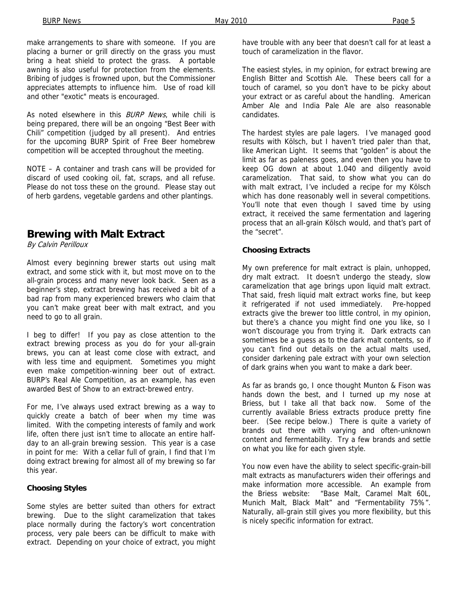make arrangements to share with someone. If you are placing a burner or grill directly on the grass you must bring a heat shield to protect the grass. A portable awning is also useful for protection from the elements. Bribing of judges is frowned upon, but the Commissioner appreciates attempts to influence him. Use of road kill and other "exotic" meats is encouraged.

As noted elsewhere in this **BURP** News, while chili is being prepared, there will be an ongoing "Best Beer with Chili" competition (judged by all present). And entries for the upcoming BURP Spirit of Free Beer homebrew competition will be accepted throughout the meeting.

NOTE – A container and trash cans will be provided for discard of used cooking oil, fat, scraps, and all refuse. Please do not toss these on the ground. Please stay out of herb gardens, vegetable gardens and other plantings.

## **Brewing with Malt Extract**

By Calvin Perilloux

Almost every beginning brewer starts out using malt extract, and some stick with it, but most move on to the all-grain process and many never look back. Seen as a beginner's step, extract brewing has received a bit of a bad rap from many experienced brewers who claim that you can't make great beer with malt extract, and you need to go to all grain.

I beg to differ! If you pay as close attention to the extract brewing process as you do for your all-grain brews, you can at least come close with extract, and with less time and equipment. Sometimes you might even make competition-winning beer out of extract. BURP's Real Ale Competition, as an example, has even awarded Best of Show to an extract-brewed entry.

For me, I've always used extract brewing as a way to quickly create a batch of beer when my time was limited. With the competing interests of family and work life, often there just isn't time to allocate an entire halfday to an all-grain brewing session. This year is a case in point for me: With a cellar full of grain, I find that I'm doing extract brewing for almost all of my brewing so far this year.

#### **Choosing Styles**

Some styles are better suited than others for extract brewing. Due to the slight caramelization that takes place normally during the factory's wort concentration process, very pale beers can be difficult to make with extract. Depending on your choice of extract, you might

have trouble with any beer that doesn't call for at least a touch of caramelization in the flavor.

The easiest styles, in my opinion, for extract brewing are English Bitter and Scottish Ale. These beers call for a touch of caramel, so you don't have to be picky about your extract or as careful about the handling. American Amber Ale and India Pale Ale are also reasonable candidates.

The hardest styles are pale lagers. I've managed good results with Kölsch, but I haven't tried paler than that, like American Light. It seems that "golden" is about the limit as far as paleness goes, and even then you have to keep OG down at about 1.040 and diligently avoid caramelization. That said, to show what you can do with malt extract, I've included a recipe for my Kölsch which has done reasonably well in several competitions. You'll note that even though I saved time by using extract, it received the same fermentation and lagering process that an all-grain Kölsch would, and that's part of the "secret".

#### **Choosing Extracts**

My own preference for malt extract is plain, unhopped, dry malt extract. It doesn't undergo the steady, slow caramelization that age brings upon liquid malt extract. That said, fresh liquid malt extract works fine, but keep it refrigerated if not used immediately. Pre-hopped extracts give the brewer too little control, in my opinion, but there's a chance you might find one you like, so I won't discourage you from trying it. Dark extracts can sometimes be a guess as to the dark malt contents, so if you can't find out details on the actual malts used, consider darkening pale extract with your own selection of dark grains when you want to make a dark beer.

As far as brands go, I once thought Munton & Fison was hands down the best, and I turned up my nose at Briess, but I take all that back now. Some of the currently available Briess extracts produce pretty fine beer. (See recipe below.) There is quite a variety of brands out there with varying and often-unknown content and fermentability. Try a few brands and settle on what you like for each given style.

You now even have the ability to select specific-grain-bill malt extracts as manufacturers widen their offerings and make information more accessible. An example from the Briess website: "Base Malt, Caramel Malt 60L, Munich Malt, Black Malt" and "Fermentability 75%". Naturally, all-grain still gives you more flexibility, but this is nicely specific information for extract.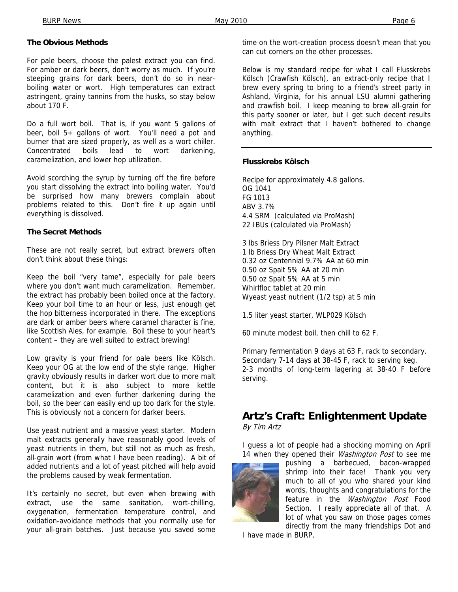#### **The Obvious Methods**

For pale beers, choose the palest extract you can find. For amber or dark beers, don't worry as much. If you're steeping grains for dark beers, don't do so in nearboiling water or wort. High temperatures can extract astringent, grainy tannins from the husks, so stay below about 170 F.

Do a full wort boil. That is, if you want 5 gallons of beer, boil 5+ gallons of wort. You'll need a pot and burner that are sized properly, as well as a wort chiller. Concentrated boils lead to wort darkening, caramelization, and lower hop utilization.

Avoid scorching the syrup by turning off the fire before you start dissolving the extract into boiling water. You'd be surprised how many brewers complain about problems related to this. Don't fire it up again until everything is dissolved.

#### **The Secret Methods**

These are not really secret, but extract brewers often don't think about these things:

Keep the boil "very tame", especially for pale beers where you don't want much caramelization. Remember, the extract has probably been boiled once at the factory. Keep your boil time to an hour or less, just enough get the hop bitterness incorporated in there. The exceptions are dark or amber beers where caramel character is fine, like Scottish Ales, for example. Boil these to your heart's content – they are well suited to extract brewing!

Low gravity is your friend for pale beers like Kölsch. Keep your OG at the low end of the style range. Higher gravity obviously results in darker wort due to more malt content, but it is also subject to more kettle caramelization and even further darkening during the boil, so the beer can easily end up too dark for the style. This is obviously not a concern for darker beers.

Use yeast nutrient and a massive yeast starter. Modern malt extracts generally have reasonably good levels of yeast nutrients in them, but still not as much as fresh, all-grain wort (from what I have been reading). A bit of added nutrients and a lot of yeast pitched will help avoid the problems caused by weak fermentation.

It's certainly no secret, but even when brewing with extract, use the same sanitation, wort-chilling, oxygenation, fermentation temperature control, and oxidation-avoidance methods that you normally use for your all-grain batches. Just because you saved some

time on the wort-creation process doesn't mean that you can cut corners on the other processes.

Below is my standard recipe for what I call Flusskrebs Kölsch (Crawfish Kölsch), an extract-only recipe that I brew every spring to bring to a friend's street party in Ashland, Virginia, for his annual LSU alumni gathering and crawfish boil. I keep meaning to brew all-grain for this party sooner or later, but I get such decent results with malt extract that I haven't bothered to change anything.

#### **Flusskrebs Kölsch**

Recipe for approximately 4.8 gallons. OG 1041 FG 1013 ABV 3.7% 4.4 SRM (calculated via ProMash) 22 IBUs (calculated via ProMash)

3 lbs Briess Dry Pilsner Malt Extract 1 lb Briess Dry Wheat Malt Extract 0.32 oz Centennial 9.7% AA at 60 min 0.50 oz Spalt 5% AA at 20 min 0.50 oz Spalt 5% AA at 5 min Whirlfloc tablet at 20 min Wyeast yeast nutrient (1/2 tsp) at 5 min

1.5 liter yeast starter, WLP029 Kölsch

60 minute modest boil, then chill to 62 F.

Primary fermentation 9 days at 63 F, rack to secondary. Secondary 7-14 days at 38-45 F, rack to serving keg. 2-3 months of long-term lagering at 38-40 F before serving.

# **Artz's Craft: Enlightenment Update**

By Tim Artz

I guess a lot of people had a shocking morning on April 14 when they opened their *Washington Post* to see me



pushing a barbecued, bacon-wrapped shrimp into their face! Thank you very much to all of you who shared your kind words, thoughts and congratulations for the feature in the *Washington Post* Food Section. I really appreciate all of that. A lot of what you saw on those pages comes directly from the many friendships Dot and

I have made in BURP.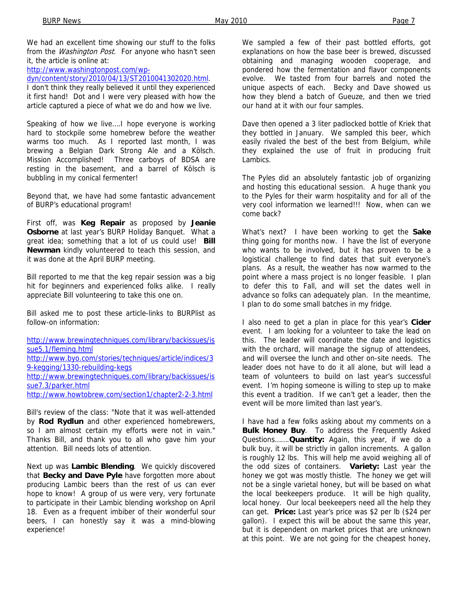We had an excellent time showing our stuff to the folks from the *Washington Post*. For anyone who hasn't seen it, the article is online at:

http://www.washingtonpost.com/wp-

dyn/content/story/2010/04/13/ST2010041302020.html.

I don't think they really believed it until they experienced it first hand! Dot and I were very pleased with how the article captured a piece of what we do and how we live.

Speaking of how we live….I hope everyone is working hard to stockpile some homebrew before the weather warms too much. As I reported last month, I was brewing a Belgian Dark Strong Ale and a Kölsch. Mission Accomplished! Three carboys of BDSA are resting in the basement, and a barrel of Kölsch is bubbling in my conical fermenter!

Beyond that, we have had some fantastic advancement of BURP's educational program!

First off, was **Keg Repair** as proposed by **Jeanie Osborne** at last year's BURP Holiday Banquet. What a great idea; something that a lot of us could use! **Bill Newman** kindly volunteered to teach this session, and it was done at the April BURP meeting.

Bill reported to me that the keg repair session was a big hit for beginners and experienced folks alike. I really appreciate Bill volunteering to take this one on.

Bill asked me to post these article-links to BURPlist as follow-on information:

http://www.brewingtechniques.com/library/backissues/is sue5.1/fleming.html http://www.byo.com/stories/techniques/article/indices/3 9-kegging/1330-rebuilding-kegs http://www.brewingtechniques.com/library/backissues/is sue7.3/parker.html http://www.howtobrew.com/section1/chapter2-2-3.html

Bill's review of the class: "Note that it was well-attended by **Rod Rydlun** and other experienced homebrewers, so I am almost certain my efforts were not in vain." Thanks Bill, and thank you to all who gave him your attention. Bill needs lots of attention.

Next up was **Lambic Blending**. We quickly discovered that **Becky and Dave Pyle** have forgotten more about producing Lambic beers than the rest of us can ever hope to know! A group of us were very, very fortunate to participate in their Lambic blending workshop on April 18. Even as a frequent imbiber of their wonderful sour beers, I can honestly say it was a mind-blowing experience!

We sampled a few of their past bottled efforts, got explanations on how the base beer is brewed, discussed obtaining and managing wooden cooperage, and pondered how the fermentation and flavor components evolve. We tasted from four barrels and noted the unique aspects of each. Becky and Dave showed us how they blend a batch of Gueuze, and then we tried our hand at it with our four samples.

Dave then opened a 3 liter padlocked bottle of Kriek that they bottled in January. We sampled this beer, which easily rivaled the best of the best from Belgium, while they explained the use of fruit in producing fruit Lambics.

The Pyles did an absolutely fantastic job of organizing and hosting this educational session. A huge thank you to the Pyles for their warm hospitality and for all of the very cool information we learned!!! Now, when can we come back?

What's next? I have been working to get the **Sake** thing going for months now. I have the list of everyone who wants to be involved, but it has proven to be a logistical challenge to find dates that suit everyone's plans. As a result, the weather has now warmed to the point where a mass project is no longer feasible. I plan to defer this to Fall, and will set the dates well in advance so folks can adequately plan. In the meantime, I plan to do some small batches in my fridge.

I also need to get a plan in place for this year's **Cider**  event. I am looking for a volunteer to take the lead on this. The leader will coordinate the date and logistics with the orchard, will manage the signup of attendees, and will oversee the lunch and other on-site needs. The leader does not have to do it all alone, but will lead a team of volunteers to build on last year's successful event. I'm hoping someone is willing to step up to make this event a tradition. If we can't get a leader, then the event will be more limited than last year's.

I have had a few folks asking about my comments on a **Bulk Honey Buy**. To address the Frequently Asked Questions…….**Quantity:** Again, this year, if we do a bulk buy, it will be strictly in gallon increments. A gallon is roughly 12 lbs. This will help me avoid weighing all of the odd sizes of containers. **Variety:** Last year the honey we got was mostly thistle. The honey we get will not be a single varietal honey, but will be based on what the local beekeepers produce. It will be high quality, local honey. Our local beekeepers need all the help they can get. **Price:** Last year's price was \$2 per lb (\$24 per gallon). I expect this will be about the same this year, but it is dependent on market prices that are unknown at this point. We are not going for the cheapest honey,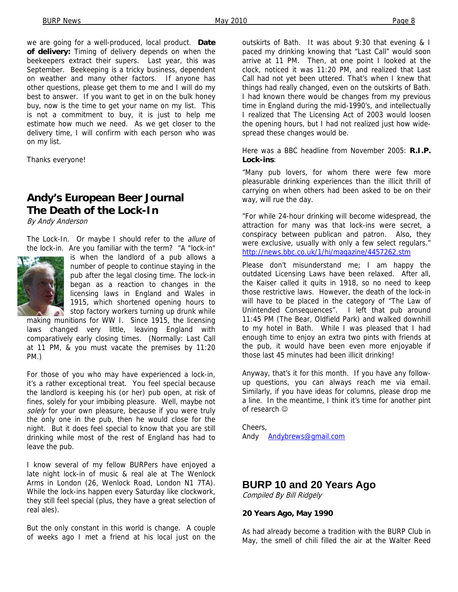we are going for a well-produced, local product. **Date of delivery:** Timing of delivery depends on when the beekeepers extract their supers. Last year, this was September. Beekeeping is a tricky business, dependent on weather and many other factors. If anyone has other questions, please get them to me and I will do my best to answer. If you want to get in on the bulk honey buy, now is the time to get your name on my list. This is not a commitment to buy, it is just to help me estimate how much we need. As we get closer to the delivery time, I will confirm with each person who was on my list.

Thanks everyone!

# **Andy's European Beer Journal The Death of the Lock-In**

By Andy Anderson

The Lock-In. Or maybe I should refer to the *allure* of the lock-in. Are you familiar with the term? "A "lock-in"



is when the landlord of a pub allows a number of people to continue staying in the pub after the legal closing time. The lock-in began as a reaction to changes in the licensing laws in England and Wales in 1915, which shortened opening hours to stop factory workers turning up drunk while

making munitions for WW I. Since 1915, the licensing laws changed very little, leaving England with comparatively early closing times. (Normally: Last Call at 11 PM, & you must vacate the premises by 11:20 PM.)

For those of you who may have experienced a lock-in, it's a rather exceptional treat. You feel special because the landlord is keeping his (or her) pub open, at risk of fines, solely for your imbibing pleasure. Well, maybe not solely for your own pleasure, because if you were truly the only one in the pub, then he would close for the night. But it does feel special to know that you are still drinking while most of the rest of England has had to leave the pub.

I know several of my fellow BURPers have enjoyed a late night lock-in of music & real ale at The Wenlock Arms in London (26, Wenlock Road, London N1 7TA). While the lock-ins happen every Saturday like clockwork, they still feel special (plus, they have a great selection of real ales).

But the only constant in this world is change. A couple of weeks ago I met a friend at his local just on the

outskirts of Bath. It was about 9:30 that evening & I paced my drinking knowing that "Last Call" would soon arrive at 11 PM. Then, at one point I looked at the clock, noticed it was 11:20 PM, and realized that Last Call had not yet been uttered. That's when I knew that things had really changed, even on the outskirts of Bath. I had known there would be changes from my previous time in England during the mid-1990's, and intellectually I realized that The Licensing Act of 2003 would loosen the opening hours, but I had not realized just how widespread these changes would be.

Here was a BBC headline from November 2005: **R.I.P. Lock-ins**:

"Many pub lovers, for whom there were few more pleasurable drinking experiences than the illicit thrill of carrying on when others had been asked to be on their way, will rue the day.

"For while 24-hour drinking will become widespread, the attraction for many was that lock-ins were secret, a conspiracy between publican and patron. Also, they were exclusive, usually with only a few select regulars." http://news.bbc.co.uk/1/hi/magazine/4457262.stm

Please don't misunderstand me; I am happy the outdated Licensing Laws have been relaxed. After all, the Kaiser called it quits in 1918, so no need to keep those restrictive laws. However, the death of the lock-in will have to be placed in the category of "The Law of Unintended Consequences". I left that pub around 11:45 PM (The Bear, Oldfield Park) and walked downhill to my hotel in Bath. While I was pleased that I had enough time to enjoy an extra two pints with friends at the pub, it would have been even more enjoyable if those last 45 minutes had been illicit drinking!

Anyway, that's it for this month. If you have any followup questions, you can always reach me via email. Similarly, if you have ideas for columns, please drop me a line. In the meantime, I think it's time for another pint of research ☺

Cheers, Andy Andybrews@gmail.com

# **BURP 10 and 20 Years Ago**

Compiled By Bill Ridgely

#### **20 Years Ago, May 1990**

As had already become a tradition with the BURP Club in May, the smell of chili filled the air at the Walter Reed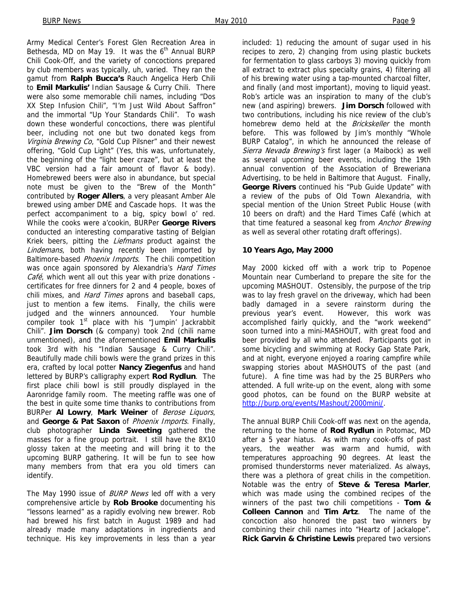Army Medical Center's Forest Glen Recreation Area in Bethesda, MD on May 19. It was the  $6<sup>th</sup>$  Annual BURP Chili Cook-Off, and the variety of concoctions prepared by club members was typically, uh, varied. They ran the gamut from **Ralph Bucca's** Rauch Angelica Herb Chili to **Emil Markulis'** Indian Sausage & Curry Chili. There were also some memorable chili names, including "Dos XX Step Infusion Chili", "I'm Just Wild About Saffron" and the immortal "Up Your Standards Chili". To wash down these wonderful concoctions, there was plentiful beer, including not one but two donated kegs from Virginia Brewing Co, "Gold Cup Pilsner" and their newest offering, "Gold Cup Light" (Yes, this was, unfortunately, the beginning of the "light beer craze", but at least the VBC version had a fair amount of flavor & body). Homebrewed beers were also in abundance, but special note must be given to the "Brew of the Month" contributed by **Roger Allers**, a very pleasant Amber Ale brewed using amber DME and Cascade hops. It was the perfect accompaniment to a big, spicy bowl o' red. While the cooks were a'cookin, BURPer **George Rivers**  conducted an interesting comparative tasting of Belgian Kriek beers, pitting the Liefmans product against the Lindemans, both having recently been imported by Baltimore-based Phoenix Imports. The chili competition was once again sponsored by Alexandria's Hard Times Café, which went all out this year with prize donations certificates for free dinners for 2 and 4 people, boxes of chili mixes, and *Hard Times* aprons and baseball caps, just to mention a few items. Finally, the chilis were judged and the winners announced. Your humble compiler took  $1<sup>st</sup>$  place with his "Jumpin' Jackrabbit Chili". **Jim Dorsch** (& company) took 2nd (chili name unmentioned), and the aforementioned **Emil Markulis**  took 3rd with his "Indian Sausage & Curry Chili". Beautifully made chili bowls were the grand prizes in this era, crafted by local potter **Nancy Ziegenfus** and hand lettered by BURP's calligraphy expert **Rod Rydlun**. The first place chili bowl is still proudly displayed in the Aaronridge family room. The meeting raffle was one of the best in quite some time thanks to contributions from BURPer **Al Lowry**, **Mark Weiner** of Berose Liquors, and **George & Pat Saxon** of Phoenix Imports. Finally, club photographer **Linda Sweeting** gathered the masses for a fine group portrait. I still have the 8X10 glossy taken at the meeting and will bring it to the upcoming BURP gathering. It will be fun to see how many members from that era you old timers can identify.

The May 1990 issue of BURP News led off with a very comprehensive article by **Rob Brooke** documenting his "lessons learned" as a rapidly evolving new brewer. Rob had brewed his first batch in August 1989 and had already made many adaptations in ingredients and technique. His key improvements in less than a year included: 1) reducing the amount of sugar used in his recipes to zero, 2) changing from using plastic buckets for fermentation to glass carboys 3) moving quickly from all extract to extract plus specialty grains, 4) filtering all of his brewing water using a tap-mounted charcoal filter, and finally (and most important), moving to liquid yeast. Rob's article was an inspiration to many of the club's new (and aspiring) brewers. **Jim Dorsch** followed with two contributions, including his nice review of the club's homebrew demo held at the Brickskeller the month before. This was followed by Jim's monthly "Whole BURP Catalog", in which he announced the release of Sierra Nevada Brewing's first lager (a Maibock) as well as several upcoming beer events, including the 19th annual convention of the Association of Breweriana Advertising, to be held in Baltimore that August. Finally, **George Rivers** continued his "Pub Guide Update" with a review of the pubs of Old Town Alexandria, with special mention of the Union Street Public House (with 10 beers on draft) and the Hard Times Café (which at that time featured a seasonal keg from *Anchor Brewing* as well as several other rotating draft offerings).

#### **10 Years Ago, May 2000**

May 2000 kicked off with a work trip to Popenoe Mountain near Cumberland to prepare the site for the upcoming MASHOUT. Ostensibly, the purpose of the trip was to lay fresh gravel on the driveway, which had been badly damaged in a severe rainstorm during the previous year's event. However, this work was accomplished fairly quickly, and the "work weekend" soon turned into a mini-MASHOUT, with great food and beer provided by all who attended. Participants got in some bicycling and swimming at Rocky Gap State Park, and at night, everyone enjoyed a roaring campfire while swapping stories about MASHOUTS of the past (and future). A fine time was had by the 25 BURPers who attended. A full write-up on the event, along with some good photos, can be found on the BURP website at http://burp.org/events/Mashout/2000mini/.

The annual BURP Chili Cook-off was next on the agenda, returning to the home of **Rod Rydlun** in Potomac, MD after a 5 year hiatus. As with many cook-offs of past years, the weather was warm and humid, with temperatures approaching 90 degrees. At least the promised thunderstorms never materialized. As always, there was a plethora of great chilis in the competition. Notable was the entry of **Steve & Teresa Marler**, which was made using the combined recipes of the winners of the past two chili competitions - **Tom & Colleen Cannon** and **Tim Artz**. The name of the concoction also honored the past two winners by combining their chili names into "Heartz of Jackalope". **Rick Garvin & Christine Lewis** prepared two versions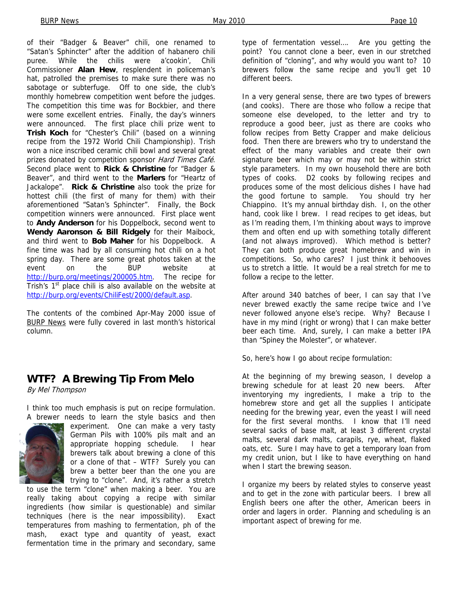of their "Badger & Beaver" chili, one renamed to "Satan's Sphincter" after the addition of habanero chili puree. While the chilis were a'cookin', Chili Commissioner **Alan Hew**, resplendent in policeman's hat, patrolled the premises to make sure there was no sabotage or subterfuge. Off to one side, the club's monthly homebrew competition went before the judges. The competition this time was for Bockbier, and there were some excellent entries. Finally, the day's winners were announced. The first place chili prize went to **Trish Koch** for "Chester's Chili" (based on a winning recipe from the 1972 World Chili Championship). Trish won a nice inscribed ceramic chili bowl and several great prizes donated by competition sponsor Hard Times Café. Second place went to **Rick & Christine** for "Badger & Beaver", and third went to the **Marlers** for "Heartz of Jackalope". **Rick & Christine** also took the prize for hottest chili (the first of many for them) with their aforementioned "Satan's Sphincter". Finally, the Bock competition winners were announced. First place went to **Andy Anderson** for his Doppelbock, second went to **Wendy Aaronson & Bill Ridgely** for their Maibock, and third went to **Bob Maher** for his Doppelbock. A fine time was had by all consuming hot chili on a hot spring day. There are some great photos taken at the event on the BUP website at http://burp.org/meetings/200005.htm. The recipe for Trish's  $1<sup>st</sup>$  place chili is also available on the website at http://burp.org/events/ChiliFest/2000/default.asp.

The contents of the combined Apr-May 2000 issue of BURP News were fully covered in last month's historical column.

## **WTF? A Brewing Tip From Melo**

By Mel Thompson

I think too much emphasis is put on recipe formulation. A brewer needs to learn the style basics and then



experiment. One can make a very tasty German Pils with 100% pils malt and an appropriate hopping schedule. I hear brewers talk about brewing a clone of this or a clone of that – WTF? Surely you can brew a better beer than the one you are trying to "clone". And, it's rather a stretch

to use the term "clone" when making a beer. You are really taking about copying a recipe with similar ingredients (how similar is questionable) and similar techniques (here is the near impossibility). Exact temperatures from mashing to fermentation, ph of the mash, exact type and quantity of yeast, exact fermentation time in the primary and secondary, same

type of fermentation vessel…. Are you getting the point? You cannot clone a beer, even in our stretched definition of "cloning", and why would you want to? 10 brewers follow the same recipe and you'll get 10 different beers.

In a very general sense, there are two types of brewers (and cooks). There are those who follow a recipe that someone else developed, to the letter and try to reproduce a good beer, just as there are cooks who follow recipes from Betty Crapper and make delicious food. Then there are brewers who try to understand the effect of the many variables and create their own signature beer which may or may not be within strict style parameters. In my own household there are both types of cooks. D2 cooks by following recipes and produces some of the most delicious dishes I have had the good fortune to sample. You should try her Chiappino. It's my annual birthday dish. I, on the other hand, cook like I brew. I read recipes to get ideas, but as I'm reading them, I'm thinking about ways to improve them and often end up with something totally different (and not always improved). Which method is better? They can both produce great homebrew and win in competitions. So, who cares? I just think it behooves us to stretch a little. It would be a real stretch for me to follow a recipe to the letter.

After around 340 batches of beer, I can say that I've never brewed exactly the same recipe twice and I've never followed anyone else's recipe. Why? Because I have in my mind (right or wrong) that I can make better beer each time. And, surely, I can make a better IPA than "Spiney the Molester", or whatever.

So, here's how I go about recipe formulation:

At the beginning of my brewing season, I develop a brewing schedule for at least 20 new beers. After inventorying my ingredients, I make a trip to the homebrew store and get all the supplies I anticipate needing for the brewing year, even the yeast I will need for the first several months. I know that I'll need several sacks of base malt, at least 3 different crystal malts, several dark malts, carapils, rye, wheat, flaked oats, etc. Sure I may have to get a temporary loan from my credit union, but I like to have everything on hand when I start the brewing season.

I organize my beers by related styles to conserve yeast and to get in the zone with particular beers. I brew all English beers one after the other, American beers in order and lagers in order. Planning and scheduling is an important aspect of brewing for me.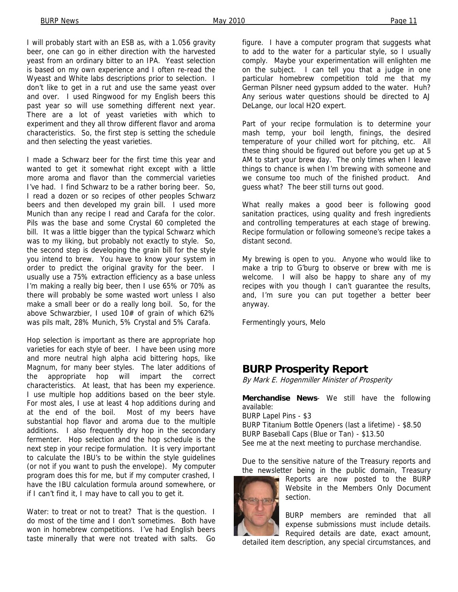I will probably start with an ESB as, with a 1.056 gravity beer, one can go in either direction with the harvested yeast from an ordinary bitter to an IPA. Yeast selection is based on my own experience and I often re-read the Wyeast and White labs descriptions prior to selection. I don't like to get in a rut and use the same yeast over and over. I used Ringwood for my English beers this past year so will use something different next year. There are a lot of yeast varieties with which to experiment and they all throw different flavor and aroma characteristics. So, the first step is setting the schedule and then selecting the yeast varieties.

I made a Schwarz beer for the first time this year and wanted to get it somewhat right except with a little more aroma and flavor than the commercial varieties I've had. I find Schwarz to be a rather boring beer. So, I read a dozen or so recipes of other peoples Schwarz beers and then developed my grain bill. I used more Munich than any recipe I read and Carafa for the color. Pils was the base and some Crystal 60 completed the bill. It was a little bigger than the typical Schwarz which was to my liking, but probably not exactly to style. So, the second step is developing the grain bill for the style you intend to brew. You have to know your system in order to predict the original gravity for the beer. I usually use a 75% extraction efficiency as a base unless I'm making a really big beer, then I use 65% or 70% as there will probably be some wasted wort unless I also make a small beer or do a really long boil. So, for the above Schwarzbier, I used 10# of grain of which 62% was pils malt, 28% Munich, 5% Crystal and 5% Carafa.

Hop selection is important as there are appropriate hop varieties for each style of beer. I have been using more and more neutral high alpha acid bittering hops, like Magnum, for many beer styles. The later additions of the appropriate hop will impart the correct characteristics. At least, that has been my experience. I use multiple hop additions based on the beer style. For most ales, I use at least 4 hop additions during and at the end of the boil. Most of my beers have substantial hop flavor and aroma due to the multiple additions. I also frequently dry hop in the secondary fermenter. Hop selection and the hop schedule is the next step in your recipe formulation. It is very important to calculate the IBU's to be within the style guidelines (or not if you want to push the envelope). My computer program does this for me, but if my computer crashed, I have the IBU calculation formula around somewhere, or if I can't find it, I may have to call you to get it.

Water: to treat or not to treat? That is the question. I do most of the time and I don't sometimes. Both have won in homebrew competitions. I've had English beers taste minerally that were not treated with salts. Go

figure. I have a computer program that suggests what to add to the water for a particular style, so I usually comply. Maybe your experimentation will enlighten me on the subject. I can tell you that a judge in one particular homebrew competition told me that my German Pilsner need gypsum added to the water. Huh? Any serious water questions should be directed to AJ DeLange, our local H2O expert.

Part of your recipe formulation is to determine your mash temp, your boil length, finings, the desired temperature of your chilled wort for pitching, etc. All these thing should be figured out before you get up at 5 AM to start your brew day. The only times when I leave things to chance is when I'm brewing with someone and we consume too much of the finished product. And guess what? The beer still turns out good.

What really makes a good beer is following good sanitation practices, using quality and fresh ingredients and controlling temperatures at each stage of brewing. Recipe formulation or following someone's recipe takes a distant second.

My brewing is open to you. Anyone who would like to make a trip to G'burg to observe or brew with me is welcome. I will also be happy to share any of my recipes with you though I can't guarantee the results, and, I'm sure you can put together a better beer anyway.

Fermentingly yours, Melo

## **BURP Prosperity Report**

By Mark E. Hogenmiller Minister of Prosperity

**Merchandise News**- We still have the following available: BURP Lapel Pins - \$3 BURP Titanium Bottle Openers (last a lifetime) - \$8.50 BURP Baseball Caps (Blue or Tan) - \$13.50 See me at the next meeting to purchase merchandise.

Due to the sensitive nature of the Treasury reports and the newsletter being in the public domain, Treasury

Reports are now posted to the BURP Website in the Members Only Document section.

BURP members are reminded that all expense submissions must include details. Required details are date, exact amount,

detailed item description, any special circumstances, and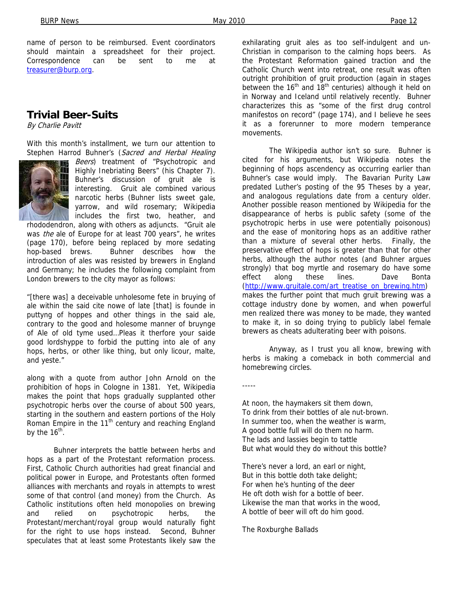name of person to be reimbursed. Event coordinators should maintain a spreadsheet for their project. Correspondence can be sent to me at treasurer@burp.org.

## **Trivial Beer-Suits**

By Charlie Pavitt

With this month's installment, we turn our attention to Stephen Harrod Buhner's (Sacred and Herbal Healing



Beers) treatment of "Psychotropic and Highly Inebriating Beers" (his Chapter 7). Buhner's discussion of gruit ale is interesting. Gruit ale combined various narcotic herbs (Buhner lists sweet gale, yarrow, and wild rosemary; Wikipedia includes the first two, heather, and

rhododendron, along with others as adjuncts. "Gruit ale was the ale of Europe for at least 700 years", he writes (page 170), before being replaced by more sedating hop-based brews. Buhner describes how the introduction of ales was resisted by brewers in England and Germany; he includes the following complaint from London brewers to the city mayor as follows:

"[there was] a deceivable unholesome fete in bruying of ale within the said cite nowe of late [that] is founde in puttyng of hoppes and other things in the said ale, contrary to the good and holesome manner of bruynge of Ale of old tyme used…Pleas it therfore your saide good lordshyppe to forbid the putting into ale of any hops, herbs, or other like thing, but only licour, malte, and yeste."

along with a quote from author John Arnold on the prohibition of hops in Cologne in 1381. Yet, Wikipedia makes the point that hops gradually supplanted other psychotropic herbs over the course of about 500 years, starting in the southern and eastern portions of the Holy Roman Empire in the  $11<sup>th</sup>$  century and reaching England by the  $16^{th}$ .

 Buhner interprets the battle between herbs and hops as a part of the Protestant reformation process. First, Catholic Church authorities had great financial and political power in Europe, and Protestants often formed alliances with merchants and royals in attempts to wrest some of that control (and money) from the Church. As Catholic institutions often held monopolies on brewing and relied on psychotropic herbs, the Protestant/merchant/royal group would naturally fight for the right to use hops instead. Second, Buhner speculates that at least some Protestants likely saw the

exhilarating gruit ales as too self-indulgent and un-Christian in comparison to the calming hops beers. As the Protestant Reformation gained traction and the Catholic Church went into retreat, one result was often outright prohibition of gruit production (again in stages between the  $16<sup>th</sup>$  and  $18<sup>th</sup>$  centuries) although it held on in Norway and Iceland until relatively recently. Buhner characterizes this as "some of the first drug control manifestos on record" (page 174), and I believe he sees it as a forerunner to more modern temperance movements.

 The Wikipedia author isn't so sure. Buhner is cited for his arguments, but Wikipedia notes the beginning of hops ascendency as occurring earlier than Buhner's case would imply. The Bavarian Purity Law predated Luther's posting of the 95 Theses by a year, and analogous regulations date from a century older. Another possible reason mentioned by Wikipedia for the disappearance of herbs is public safety (some of the psychotropic herbs in use were potentially poisonous) and the ease of monitoring hops as an additive rather than a mixture of several other herbs. Finally, the preservative effect of hops is greater than that for other herbs, although the author notes (and Buhner argues strongly) that bog myrtle and rosemary do have some effect along these lines. Dave Bonta (http://www.gruitale.com/art\_treatise\_on\_brewing.htm) makes the further point that much gruit brewing was a cottage industry done by women, and when powerful men realized there was money to be made, they wanted to make it, in so doing trying to publicly label female brewers as cheats adulterating beer with poisons.

 Anyway, as I trust you all know, brewing with herbs is making a comeback in both commercial and homebrewing circles.

-----

At noon, the haymakers sit them down, To drink from their bottles of ale nut-brown. In summer too, when the weather is warm, A good bottle full will do them no harm. The lads and lassies begin to tattle But what would they do without this bottle?

There's never a lord, an earl or night, But in this bottle doth take delight; For when he's hunting of the deer He oft doth wish for a bottle of beer. Likewise the man that works in the wood, A bottle of beer will oft do him good.

The Roxburghe Ballads